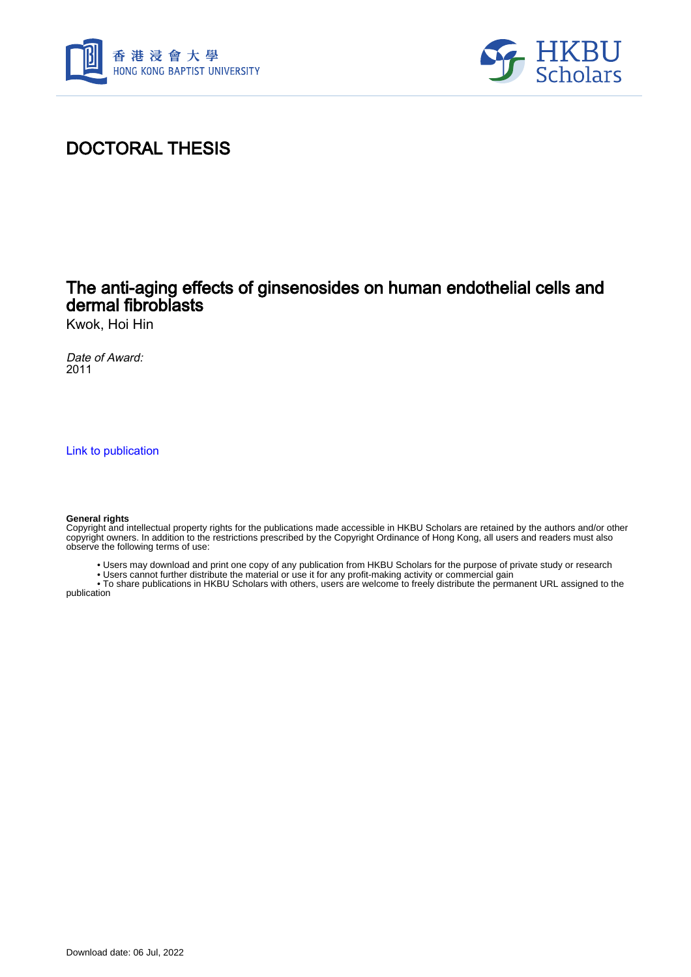



## DOCTORAL THESIS

## The anti-aging effects of ginsenosides on human endothelial cells and dermal fibroblasts

Kwok, Hoi Hin

Date of Award: 2011

[Link to publication](https://scholars.hkbu.edu.hk/en/studentTheses/74433856-5181-46dc-9007-df9cf68673f2)

#### **General rights**

Copyright and intellectual property rights for the publications made accessible in HKBU Scholars are retained by the authors and/or other copyright owners. In addition to the restrictions prescribed by the Copyright Ordinance of Hong Kong, all users and readers must also observe the following terms of use:

- Users may download and print one copy of any publication from HKBU Scholars for the purpose of private study or research
- Users cannot further distribute the material or use it for any profit-making activity or commercial gain

 • To share publications in HKBU Scholars with others, users are welcome to freely distribute the permanent URL assigned to the publication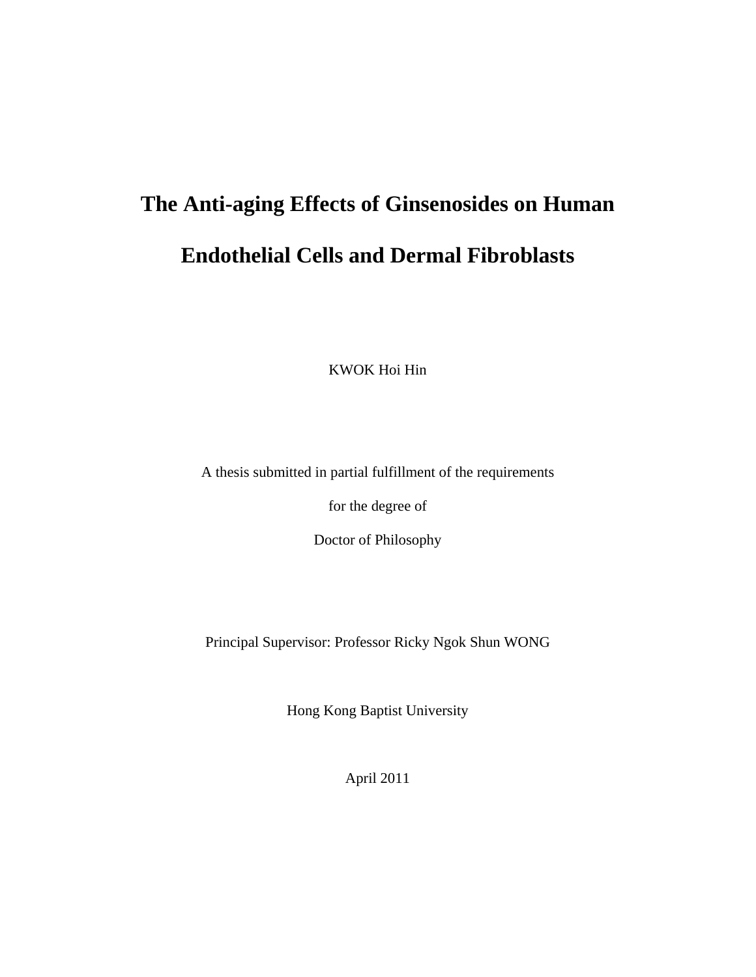# **The Anti-aging Effects of Ginsenosides on Human Endothelial Cells and Dermal Fibroblasts**

KWOK Hoi Hin

A thesis submitted in partial fulfillment of the requirements

for the degree of

Doctor of Philosophy

Principal Supervisor: Professor Ricky Ngok Shun WONG

Hong Kong Baptist University

April 2011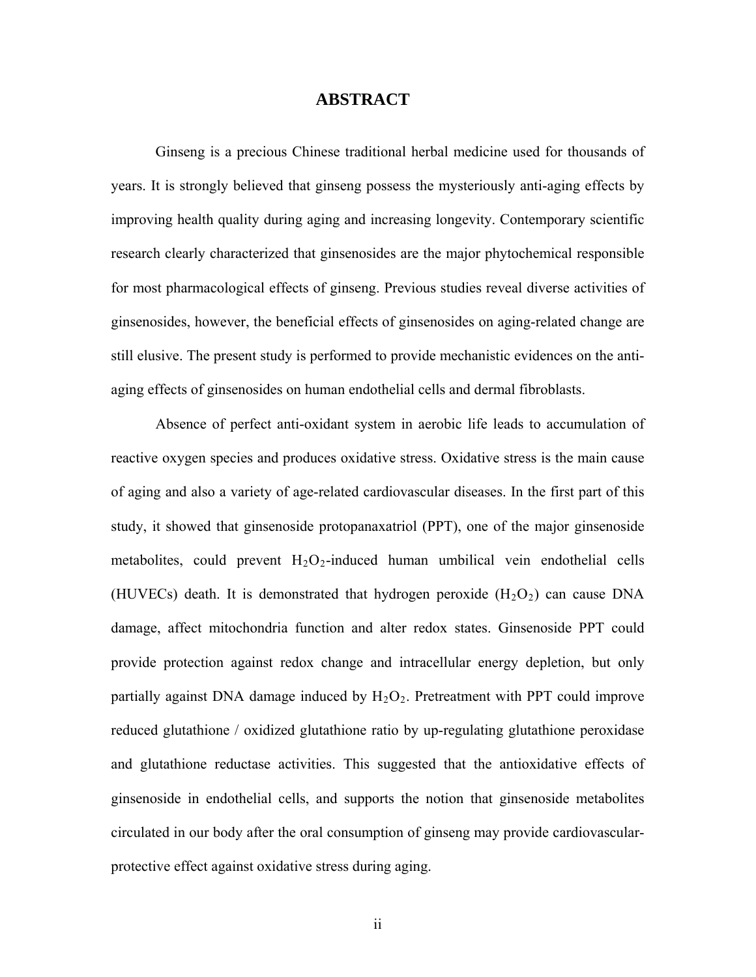### **ABSTRACT**

Ginseng is a precious Chinese traditional herbal medicine used for thousands of years. It is strongly believed that ginseng possess the mysteriously anti-aging effects by improving health quality during aging and increasing longevity. Contemporary scientific research clearly characterized that ginsenosides are the major phytochemical responsible for most pharmacological effects of ginseng. Previous studies reveal diverse activities of ginsenosides, however, the beneficial effects of ginsenosides on aging-related change are still elusive. The present study is performed to provide mechanistic evidences on the antiaging effects of ginsenosides on human endothelial cells and dermal fibroblasts.

Absence of perfect anti-oxidant system in aerobic life leads to accumulation of reactive oxygen species and produces oxidative stress. Oxidative stress is the main cause of aging and also a variety of age-related cardiovascular diseases. In the first part of this study, it showed that ginsenoside protopanaxatriol (PPT), one of the major ginsenoside metabolites, could prevent  $H_2O_2$ -induced human umbilical vein endothelial cells (HUVECs) death. It is demonstrated that hydrogen peroxide  $(H_2O_2)$  can cause DNA damage, affect mitochondria function and alter redox states. Ginsenoside PPT could provide protection against redox change and intracellular energy depletion, but only partially against DNA damage induced by  $H_2O_2$ . Pretreatment with PPT could improve reduced glutathione / oxidized glutathione ratio by up-regulating glutathione peroxidase and glutathione reductase activities. This suggested that the antioxidative effects of ginsenoside in endothelial cells, and supports the notion that ginsenoside metabolites circulated in our body after the oral consumption of ginseng may provide cardiovascularprotective effect against oxidative stress during aging.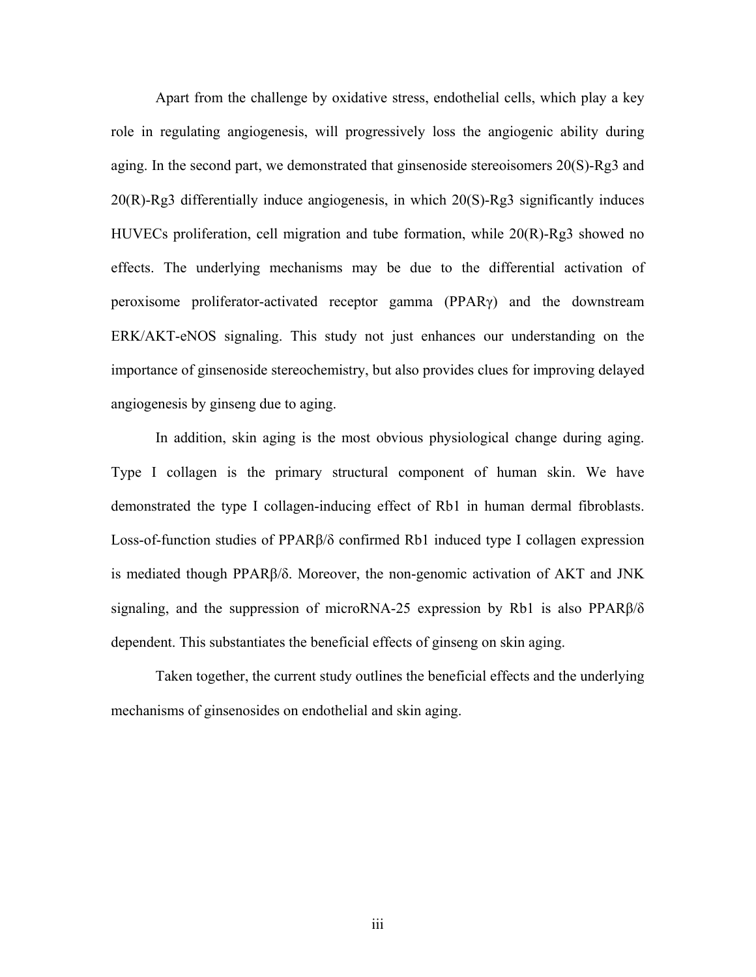Apart from the challenge by oxidative stress, endothelial cells, which play a key role in regulating angiogenesis, will progressively loss the angiogenic ability during aging. In the second part, we demonstrated that ginsenoside stereoisomers  $20(S)$ -Rg3 and 20(R)-Rg3 differentially induce angiogenesis, in which 20(S)-Rg3 significantly induces HUVECs proliferation, cell migration and tube formation, while 20(R)-Rg3 showed no effects. The underlying mechanisms may be due to the differential activation of peroxisome proliferator-activated receptor gamma (PPARγ) and the downstream ERK/AKT-eNOS signaling. This study not just enhances our understanding on the importance of ginsenoside stereochemistry, but also provides clues for improving delayed angiogenesis by ginseng due to aging.

 In addition, skin aging is the most obvious physiological change during aging. Type I collagen is the primary structural component of human skin. We have demonstrated the type I collagen-inducing effect of Rb1 in human dermal fibroblasts. Loss-of-function studies of PPARβ/δ confirmed Rb1 induced type I collagen expression is mediated though PPARβ/δ. Moreover, the non-genomic activation of AKT and JNK signaling, and the suppression of microRNA-25 expression by Rb1 is also PPARβ/δ dependent. This substantiates the beneficial effects of ginseng on skin aging.

 Taken together, the current study outlines the beneficial effects and the underlying mechanisms of ginsenosides on endothelial and skin aging.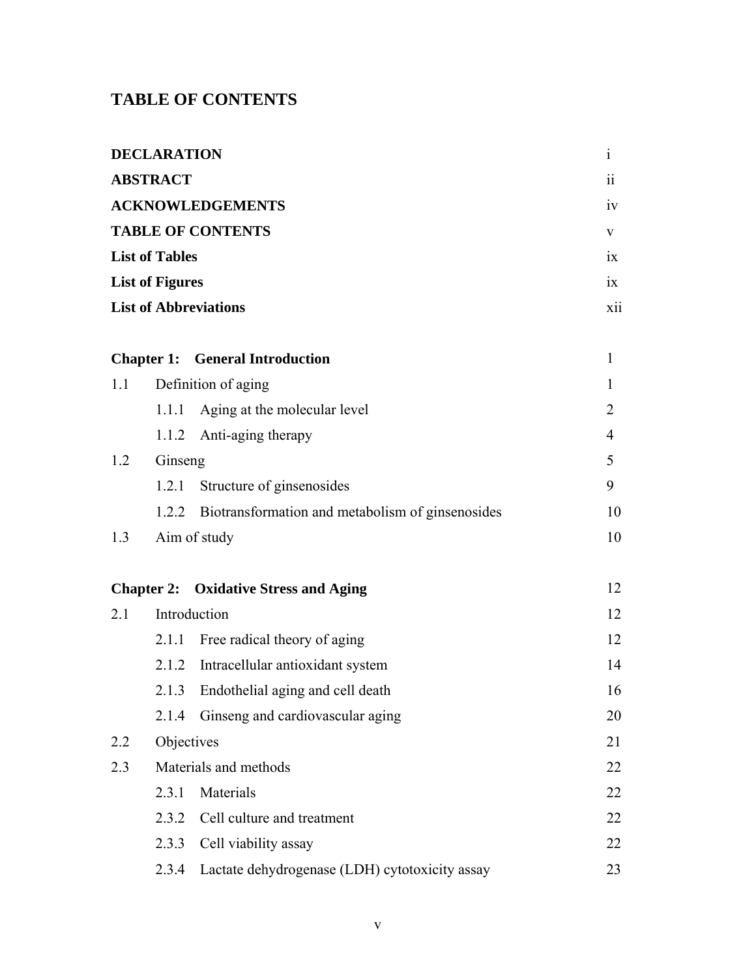## **TABLE OF CONTENTS**

| <b>DECLARATION</b>                                                                                                        |                   |                                                  |                  |
|---------------------------------------------------------------------------------------------------------------------------|-------------------|--------------------------------------------------|------------------|
| <b>ABSTRACT</b><br><b>ACKNOWLEDGEMENTS</b><br><b>TABLE OF CONTENTS</b><br><b>List of Tables</b><br><b>List of Figures</b> |                   |                                                  | $\ddot{\rm{ii}}$ |
|                                                                                                                           |                   |                                                  | iv               |
|                                                                                                                           |                   |                                                  | V                |
|                                                                                                                           |                   |                                                  | $\overline{1}X$  |
|                                                                                                                           |                   |                                                  | $\overline{1}X$  |
|                                                                                                                           |                   | <b>List of Abbreviations</b>                     | <b>X11</b>       |
|                                                                                                                           |                   |                                                  |                  |
|                                                                                                                           | <b>Chapter 1:</b> | <b>General Introduction</b>                      | $\mathbf{1}$     |
| 1.1                                                                                                                       |                   | Definition of aging                              | $\mathbf{1}$     |
|                                                                                                                           | 1.1.1             | Aging at the molecular level                     | $\overline{2}$   |
|                                                                                                                           | 1.1.2             | Anti-aging therapy                               | $\overline{4}$   |
| 1.2                                                                                                                       | Ginseng           |                                                  | 5                |
|                                                                                                                           | 1.2.1             | Structure of ginsenosides                        | 9                |
|                                                                                                                           | 1.2.2             | Biotransformation and metabolism of ginsenosides | 10               |
| 1.3                                                                                                                       |                   | Aim of study                                     | 10               |
|                                                                                                                           |                   |                                                  |                  |
| <b>Chapter 2:</b> Oxidative Stress and Aging                                                                              |                   |                                                  | 12               |
| 2.1                                                                                                                       | Introduction      |                                                  | 12               |
|                                                                                                                           | 2.1.1             | Free radical theory of aging                     | 12               |
|                                                                                                                           | 2.1.2             | Intracellular antioxidant system                 | 14               |
|                                                                                                                           | 2.1.3             | Endothelial aging and cell death                 | 16               |
|                                                                                                                           |                   | 2.1.4 Ginseng and cardiovascular aging           | 20               |
| 2.2                                                                                                                       | Objectives        |                                                  | 21               |
| 2.3                                                                                                                       |                   | Materials and methods                            | 22               |
|                                                                                                                           | 2.3.1             | Materials                                        | 22               |
|                                                                                                                           | 2.3.2             | Cell culture and treatment                       | 22               |
|                                                                                                                           | 2.3.3             | Cell viability assay                             | 22               |
|                                                                                                                           | 2.3.4             | Lactate dehydrogenase (LDH) cytotoxicity assay   | 23               |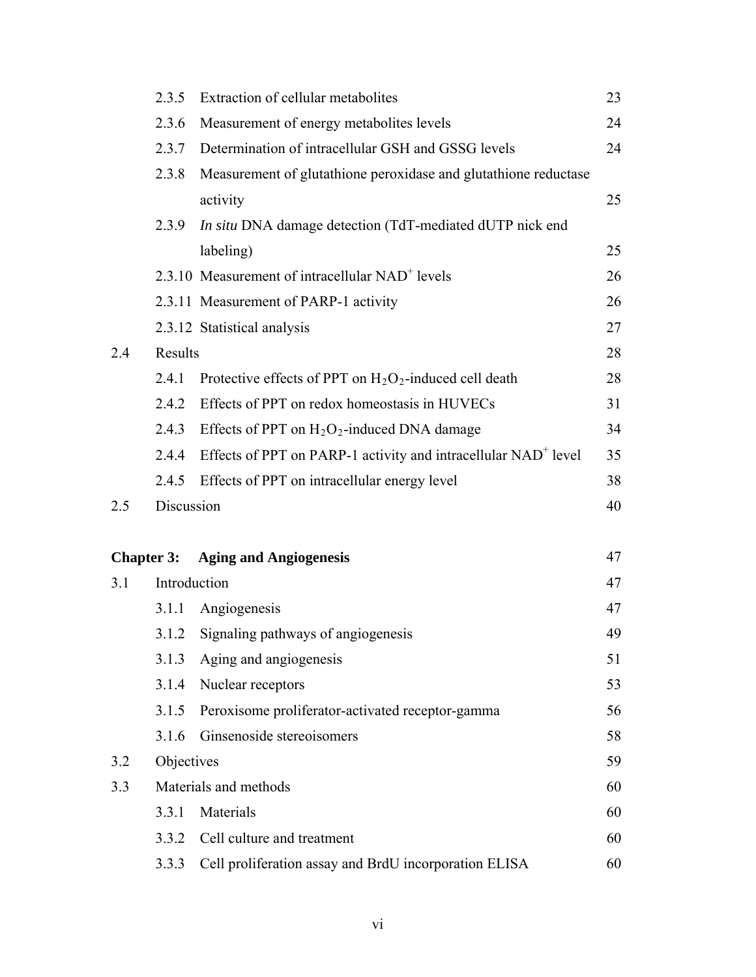|                   | 2.3.5                 | Extraction of cellular metabolites                                         | 23 |
|-------------------|-----------------------|----------------------------------------------------------------------------|----|
|                   | 2.3.6                 | Measurement of energy metabolites levels                                   | 24 |
|                   | 2.3.7                 | Determination of intracellular GSH and GSSG levels                         | 24 |
|                   | 2.3.8                 | Measurement of glutathione peroxidase and glutathione reductase            |    |
|                   |                       | activity                                                                   | 25 |
|                   | 2.3.9                 | In situ DNA damage detection (TdT-mediated dUTP nick end                   |    |
|                   |                       | labeling)                                                                  | 25 |
|                   |                       | 2.3.10 Measurement of intracellular NAD <sup>+</sup> levels                | 26 |
|                   |                       | 2.3.11 Measurement of PARP-1 activity                                      | 26 |
|                   |                       | 2.3.12 Statistical analysis                                                | 27 |
| 2.4               | Results               |                                                                            |    |
|                   | 2.4.1                 | Protective effects of PPT on $H_2O_2$ -induced cell death                  | 28 |
|                   | 2.4.2                 | Effects of PPT on redox homeostasis in HUVECs                              | 31 |
|                   | 2.4.3                 | Effects of PPT on $H_2O_2$ -induced DNA damage                             | 34 |
|                   | 2.4.4                 | Effects of PPT on PARP-1 activity and intracellular NAD <sup>+</sup> level | 35 |
|                   | 2.4.5                 | Effects of PPT on intracellular energy level                               | 38 |
| 2.5               | Discussion            |                                                                            | 40 |
|                   |                       |                                                                            |    |
| <b>Chapter 3:</b> |                       | <b>Aging and Angiogenesis</b>                                              | 47 |
| 3.1               | Introduction          |                                                                            | 47 |
|                   | 3.1.1                 | Angiogenesis                                                               | 47 |
|                   | 3.1.2                 | Signaling pathways of angiogenesis                                         | 49 |
|                   | 3.1.3                 | Aging and angiogenesis                                                     | 51 |
|                   | 3.1.4                 | Nuclear receptors                                                          | 53 |
|                   | 3.1.5                 | Peroxisome proliferator-activated receptor-gamma                           | 56 |
|                   | 3.1.6                 | Ginsenoside stereoisomers                                                  | 58 |
| 3.2               | Objectives            |                                                                            | 59 |
| 3.3               | Materials and methods |                                                                            |    |
|                   | 3.3.1                 | Materials                                                                  | 60 |
|                   | 3.3.2                 | Cell culture and treatment                                                 | 60 |
|                   | 3.3.3                 | Cell proliferation assay and BrdU incorporation ELISA                      | 60 |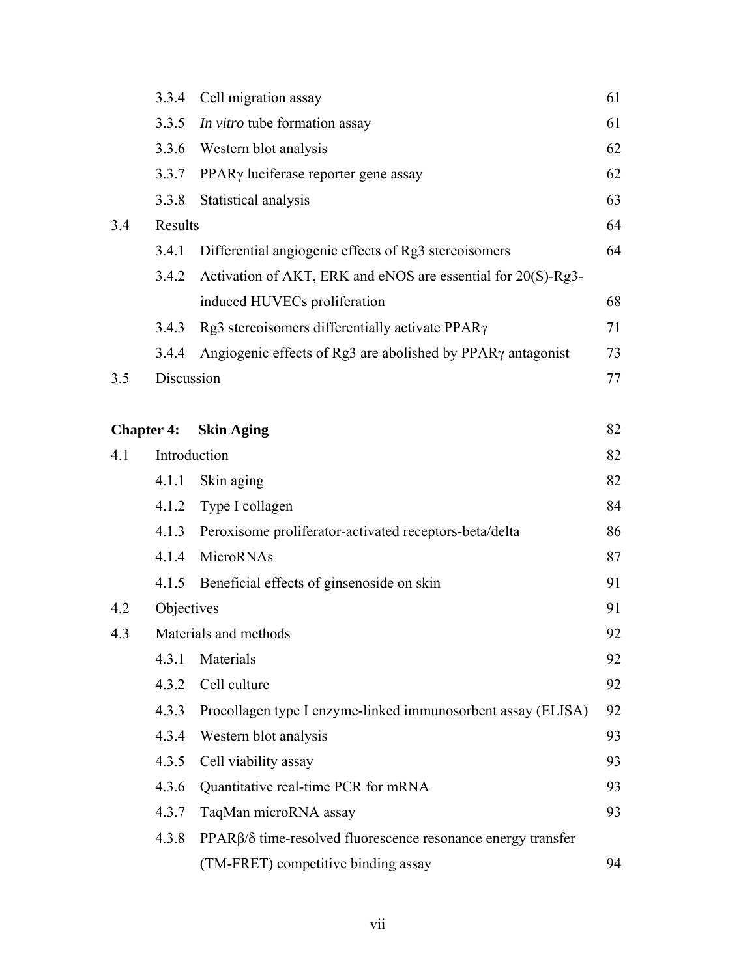|     | 3.3.4             | Cell migration assay                                         | 61 |
|-----|-------------------|--------------------------------------------------------------|----|
|     | 3.3.5             | In vitro tube formation assay                                | 61 |
|     | 3.3.6             | Western blot analysis                                        | 62 |
|     | 3.3.7             | PPAR <sub>y</sub> luciferase reporter gene assay             | 62 |
|     | 3.3.8             | Statistical analysis                                         | 63 |
| 3.4 | Results           |                                                              | 64 |
|     | 3.4.1             | Differential angiogenic effects of Rg3 stereoisomers         | 64 |
|     | 3.4.2             | Activation of AKT, ERK and eNOS are essential for 20(S)-Rg3- |    |
|     |                   | induced HUVECs proliferation                                 | 68 |
|     | 3.4.3             | Rg3 stereoisomers differentially activate PPAR $\gamma$      | 71 |
|     | 3.4.4             | Angiogenic effects of Rg3 are abolished by PPARγ antagonist  | 73 |
| 3.5 | Discussion        |                                                              | 77 |
|     |                   |                                                              |    |
|     | <b>Chapter 4:</b> | <b>Skin Aging</b>                                            | 82 |
| 4.1 |                   | Introduction                                                 | 82 |
|     | 4.1.1             | Skin aging                                                   | 82 |
|     | 4.1.2             | Type I collagen                                              | 84 |
|     | 4.1.3             | Peroxisome proliferator-activated receptors-beta/delta       | 86 |
|     | 4.1.4             | MicroRNAs                                                    | 87 |
|     | 4.1.5             | Beneficial effects of ginsenoside on skin                    | 91 |
| 4.2 | Objectives        |                                                              | 91 |
| 4.3 |                   | Materials and methods                                        |    |
|     | 4.3.1             | Materials                                                    | 92 |
|     | 4.3.2             | Cell culture                                                 | 92 |
|     | 4.3.3             | Procollagen type I enzyme-linked immunosorbent assay (ELISA) | 92 |
|     | 4.3.4             | Western blot analysis                                        | 93 |
|     | 4.3.5             | Cell viability assay                                         | 93 |
|     | 4.3.6             | Quantitative real-time PCR for mRNA                          | 93 |
|     | 4.3.7             | TaqMan microRNA assay                                        | 93 |
|     | 4.3.8             | PPARβ/δ time-resolved fluorescence resonance energy transfer |    |
|     |                   | (TM-FRET) competitive binding assay                          | 94 |